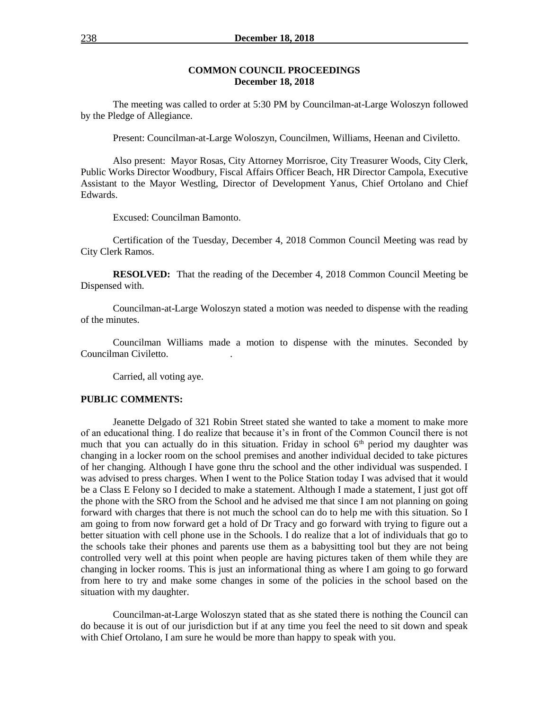### **COMMON COUNCIL PROCEEDINGS December 18, 2018**

The meeting was called to order at 5:30 PM by Councilman-at-Large Woloszyn followed by the Pledge of Allegiance.

Present: Councilman-at-Large Woloszyn, Councilmen, Williams, Heenan and Civiletto.

Also present: Mayor Rosas, City Attorney Morrisroe, City Treasurer Woods, City Clerk, Public Works Director Woodbury, Fiscal Affairs Officer Beach, HR Director Campola, Executive Assistant to the Mayor Westling, Director of Development Yanus, Chief Ortolano and Chief Edwards.

Excused: Councilman Bamonto.

Certification of the Tuesday, December 4, 2018 Common Council Meeting was read by City Clerk Ramos.

**RESOLVED:** That the reading of the December 4, 2018 Common Council Meeting be Dispensed with.

Councilman-at-Large Woloszyn stated a motion was needed to dispense with the reading of the minutes.

Councilman Williams made a motion to dispense with the minutes. Seconded by Councilman Civiletto. .

Carried, all voting aye.

#### **PUBLIC COMMENTS:**

Jeanette Delgado of 321 Robin Street stated she wanted to take a moment to make more of an educational thing. I do realize that because it's in front of the Common Council there is not much that you can actually do in this situation. Friday in school  $6<sup>th</sup>$  period my daughter was changing in a locker room on the school premises and another individual decided to take pictures of her changing. Although I have gone thru the school and the other individual was suspended. I was advised to press charges. When I went to the Police Station today I was advised that it would be a Class E Felony so I decided to make a statement. Although I made a statement, I just got off the phone with the SRO from the School and he advised me that since I am not planning on going forward with charges that there is not much the school can do to help me with this situation. So I am going to from now forward get a hold of Dr Tracy and go forward with trying to figure out a better situation with cell phone use in the Schools. I do realize that a lot of individuals that go to the schools take their phones and parents use them as a babysitting tool but they are not being controlled very well at this point when people are having pictures taken of them while they are changing in locker rooms. This is just an informational thing as where I am going to go forward from here to try and make some changes in some of the policies in the school based on the situation with my daughter.

Councilman-at-Large Woloszyn stated that as she stated there is nothing the Council can do because it is out of our jurisdiction but if at any time you feel the need to sit down and speak with Chief Ortolano, I am sure he would be more than happy to speak with you.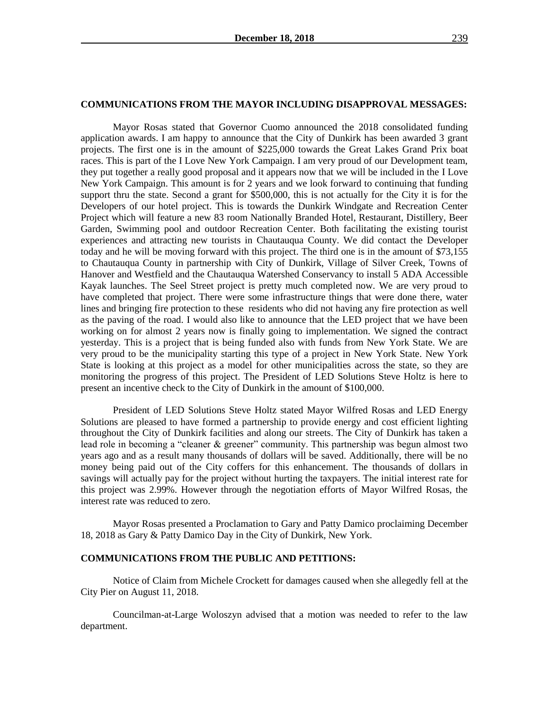#### **COMMUNICATIONS FROM THE MAYOR INCLUDING DISAPPROVAL MESSAGES:**

Mayor Rosas stated that Governor Cuomo announced the 2018 consolidated funding application awards. I am happy to announce that the City of Dunkirk has been awarded 3 grant projects. The first one is in the amount of \$225,000 towards the Great Lakes Grand Prix boat races. This is part of the I Love New York Campaign. I am very proud of our Development team, they put together a really good proposal and it appears now that we will be included in the I Love New York Campaign. This amount is for 2 years and we look forward to continuing that funding support thru the state. Second a grant for \$500,000, this is not actually for the City it is for the Developers of our hotel project. This is towards the Dunkirk Windgate and Recreation Center Project which will feature a new 83 room Nationally Branded Hotel, Restaurant, Distillery, Beer Garden, Swimming pool and outdoor Recreation Center. Both facilitating the existing tourist experiences and attracting new tourists in Chautauqua County. We did contact the Developer today and he will be moving forward with this project. The third one is in the amount of \$73,155 to Chautauqua County in partnership with City of Dunkirk, Village of Silver Creek, Towns of Hanover and Westfield and the Chautauqua Watershed Conservancy to install 5 ADA Accessible Kayak launches. The Seel Street project is pretty much completed now. We are very proud to have completed that project. There were some infrastructure things that were done there, water lines and bringing fire protection to these residents who did not having any fire protection as well as the paving of the road. I would also like to announce that the LED project that we have been working on for almost 2 years now is finally going to implementation. We signed the contract yesterday. This is a project that is being funded also with funds from New York State. We are very proud to be the municipality starting this type of a project in New York State. New York State is looking at this project as a model for other municipalities across the state, so they are monitoring the progress of this project. The President of LED Solutions Steve Holtz is here to present an incentive check to the City of Dunkirk in the amount of \$100,000.

President of LED Solutions Steve Holtz stated Mayor Wilfred Rosas and LED Energy Solutions are pleased to have formed a partnership to provide energy and cost efficient lighting throughout the City of Dunkirk facilities and along our streets. The City of Dunkirk has taken a lead role in becoming a "cleaner & greener" community. This partnership was begun almost two years ago and as a result many thousands of dollars will be saved. Additionally, there will be no money being paid out of the City coffers for this enhancement. The thousands of dollars in savings will actually pay for the project without hurting the taxpayers. The initial interest rate for this project was 2.99%. However through the negotiation efforts of Mayor Wilfred Rosas, the interest rate was reduced to zero.

Mayor Rosas presented a Proclamation to Gary and Patty Damico proclaiming December 18, 2018 as Gary & Patty Damico Day in the City of Dunkirk, New York.

#### **COMMUNICATIONS FROM THE PUBLIC AND PETITIONS:**

Notice of Claim from Michele Crockett for damages caused when she allegedly fell at the City Pier on August 11, 2018.

Councilman-at-Large Woloszyn advised that a motion was needed to refer to the law department.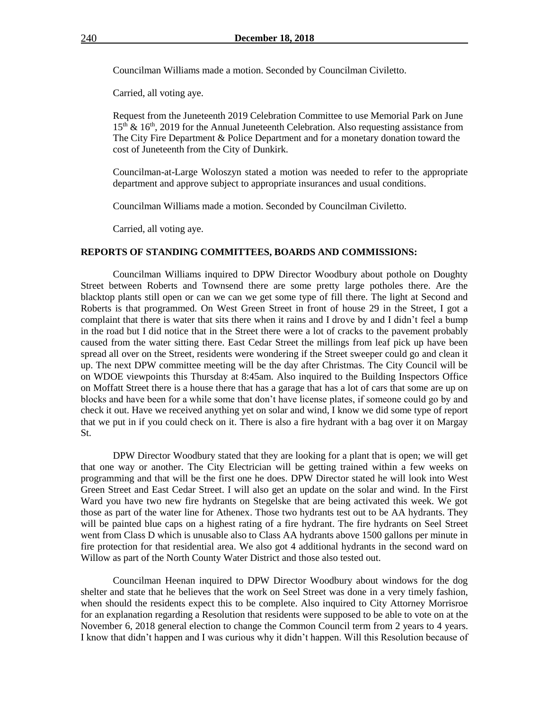Councilman Williams made a motion. Seconded by Councilman Civiletto.

Carried, all voting aye.

Request from the Juneteenth 2019 Celebration Committee to use Memorial Park on June  $15<sup>th</sup>$  &  $16<sup>th</sup>$ , 2019 for the Annual Juneteenth Celebration. Also requesting assistance from The City Fire Department & Police Department and for a monetary donation toward the cost of Juneteenth from the City of Dunkirk.

Councilman-at-Large Woloszyn stated a motion was needed to refer to the appropriate department and approve subject to appropriate insurances and usual conditions.

Councilman Williams made a motion. Seconded by Councilman Civiletto.

Carried, all voting aye.

### **REPORTS OF STANDING COMMITTEES, BOARDS AND COMMISSIONS:**

Councilman Williams inquired to DPW Director Woodbury about pothole on Doughty Street between Roberts and Townsend there are some pretty large potholes there. Are the blacktop plants still open or can we can we get some type of fill there. The light at Second and Roberts is that programmed. On West Green Street in front of house 29 in the Street, I got a complaint that there is water that sits there when it rains and I drove by and I didn't feel a bump in the road but I did notice that in the Street there were a lot of cracks to the pavement probably caused from the water sitting there. East Cedar Street the millings from leaf pick up have been spread all over on the Street, residents were wondering if the Street sweeper could go and clean it up. The next DPW committee meeting will be the day after Christmas. The City Council will be on WDOE viewpoints this Thursday at 8:45am. Also inquired to the Building Inspectors Office on Moffatt Street there is a house there that has a garage that has a lot of cars that some are up on blocks and have been for a while some that don't have license plates, if someone could go by and check it out. Have we received anything yet on solar and wind, I know we did some type of report that we put in if you could check on it. There is also a fire hydrant with a bag over it on Margay St.

DPW Director Woodbury stated that they are looking for a plant that is open; we will get that one way or another. The City Electrician will be getting trained within a few weeks on programming and that will be the first one he does. DPW Director stated he will look into West Green Street and East Cedar Street. I will also get an update on the solar and wind. In the First Ward you have two new fire hydrants on Stegelske that are being activated this week. We got those as part of the water line for Athenex. Those two hydrants test out to be AA hydrants. They will be painted blue caps on a highest rating of a fire hydrant. The fire hydrants on Seel Street went from Class D which is unusable also to Class AA hydrants above 1500 gallons per minute in fire protection for that residential area. We also got 4 additional hydrants in the second ward on Willow as part of the North County Water District and those also tested out.

Councilman Heenan inquired to DPW Director Woodbury about windows for the dog shelter and state that he believes that the work on Seel Street was done in a very timely fashion, when should the residents expect this to be complete. Also inquired to City Attorney Morrisroe for an explanation regarding a Resolution that residents were supposed to be able to vote on at the November 6, 2018 general election to change the Common Council term from 2 years to 4 years. I know that didn't happen and I was curious why it didn't happen. Will this Resolution because of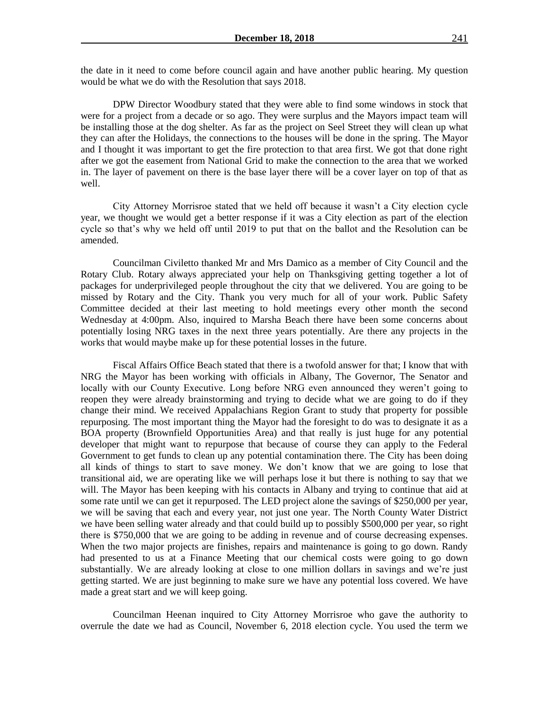the date in it need to come before council again and have another public hearing. My question would be what we do with the Resolution that says 2018.

DPW Director Woodbury stated that they were able to find some windows in stock that were for a project from a decade or so ago. They were surplus and the Mayors impact team will be installing those at the dog shelter. As far as the project on Seel Street they will clean up what they can after the Holidays, the connections to the houses will be done in the spring. The Mayor and I thought it was important to get the fire protection to that area first. We got that done right after we got the easement from National Grid to make the connection to the area that we worked in. The layer of pavement on there is the base layer there will be a cover layer on top of that as well.

City Attorney Morrisroe stated that we held off because it wasn't a City election cycle year, we thought we would get a better response if it was a City election as part of the election cycle so that's why we held off until 2019 to put that on the ballot and the Resolution can be amended.

Councilman Civiletto thanked Mr and Mrs Damico as a member of City Council and the Rotary Club. Rotary always appreciated your help on Thanksgiving getting together a lot of packages for underprivileged people throughout the city that we delivered. You are going to be missed by Rotary and the City. Thank you very much for all of your work. Public Safety Committee decided at their last meeting to hold meetings every other month the second Wednesday at 4:00pm. Also, inquired to Marsha Beach there have been some concerns about potentially losing NRG taxes in the next three years potentially. Are there any projects in the works that would maybe make up for these potential losses in the future.

Fiscal Affairs Office Beach stated that there is a twofold answer for that; I know that with NRG the Mayor has been working with officials in Albany, The Governor, The Senator and locally with our County Executive. Long before NRG even announced they weren't going to reopen they were already brainstorming and trying to decide what we are going to do if they change their mind. We received Appalachians Region Grant to study that property for possible repurposing. The most important thing the Mayor had the foresight to do was to designate it as a BOA property (Brownfield Opportunities Area) and that really is just huge for any potential developer that might want to repurpose that because of course they can apply to the Federal Government to get funds to clean up any potential contamination there. The City has been doing all kinds of things to start to save money. We don't know that we are going to lose that transitional aid, we are operating like we will perhaps lose it but there is nothing to say that we will. The Mayor has been keeping with his contacts in Albany and trying to continue that aid at some rate until we can get it repurposed. The LED project alone the savings of \$250,000 per year, we will be saving that each and every year, not just one year. The North County Water District we have been selling water already and that could build up to possibly \$500,000 per year, so right there is \$750,000 that we are going to be adding in revenue and of course decreasing expenses. When the two major projects are finishes, repairs and maintenance is going to go down. Randy had presented to us at a Finance Meeting that our chemical costs were going to go down substantially. We are already looking at close to one million dollars in savings and we're just getting started. We are just beginning to make sure we have any potential loss covered. We have made a great start and we will keep going.

Councilman Heenan inquired to City Attorney Morrisroe who gave the authority to overrule the date we had as Council, November 6, 2018 election cycle. You used the term we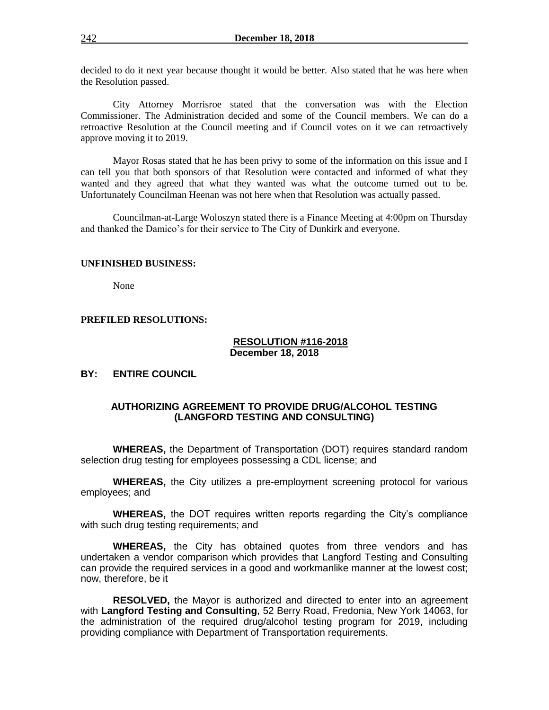decided to do it next year because thought it would be better. Also stated that he was here when the Resolution passed.

City Attorney Morrisroe stated that the conversation was with the Election Commissioner. The Administration decided and some of the Council members. We can do a retroactive Resolution at the Council meeting and if Council votes on it we can retroactively approve moving it to 2019.

Mayor Rosas stated that he has been privy to some of the information on this issue and I can tell you that both sponsors of that Resolution were contacted and informed of what they wanted and they agreed that what they wanted was what the outcome turned out to be. Unfortunately Councilman Heenan was not here when that Resolution was actually passed.

Councilman-at-Large Woloszyn stated there is a Finance Meeting at 4:00pm on Thursday and thanked the Damico's for their service to The City of Dunkirk and everyone.

#### **UNFINISHED BUSINESS:**

None

# **PREFILED RESOLUTIONS:**

#### **RESOLUTION #116-2018 December 18, 2018**

### **BY: ENTIRE COUNCIL**

# **AUTHORIZING AGREEMENT TO PROVIDE DRUG/ALCOHOL TESTING (LANGFORD TESTING AND CONSULTING)**

**WHEREAS,** the Department of Transportation (DOT) requires standard random selection drug testing for employees possessing a CDL license; and

**WHEREAS,** the City utilizes a pre-employment screening protocol for various employees; and

**WHEREAS,** the DOT requires written reports regarding the City's compliance with such drug testing requirements; and

**WHEREAS,** the City has obtained quotes from three vendors and has undertaken a vendor comparison which provides that Langford Testing and Consulting can provide the required services in a good and workmanlike manner at the lowest cost; now, therefore, be it

**RESOLVED,** the Mayor is authorized and directed to enter into an agreement with **Langford Testing and Consulting**, 52 Berry Road, Fredonia, New York 14063, for the administration of the required drug/alcohol testing program for 2019, including providing compliance with Department of Transportation requirements.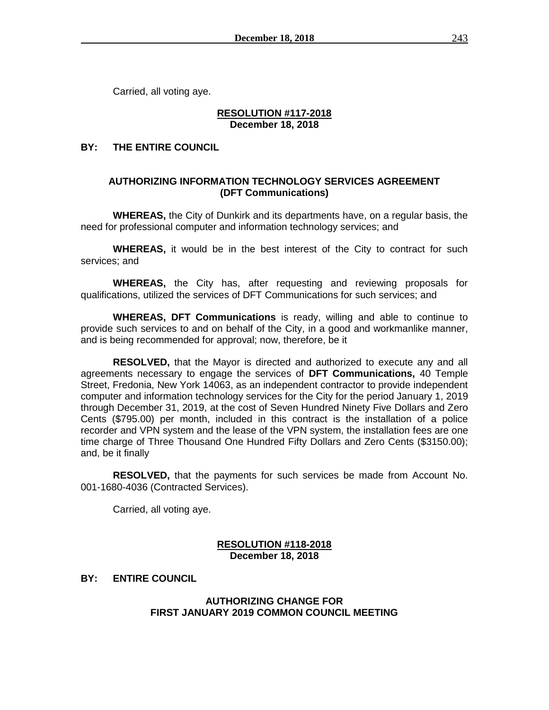Carried, all voting aye.

### **RESOLUTION #117-2018 December 18, 2018**

# **BY: THE ENTIRE COUNCIL**

# **AUTHORIZING INFORMATION TECHNOLOGY SERVICES AGREEMENT (DFT Communications)**

**WHEREAS,** the City of Dunkirk and its departments have, on a regular basis, the need for professional computer and information technology services; and

**WHEREAS,** it would be in the best interest of the City to contract for such services; and

**WHEREAS,** the City has, after requesting and reviewing proposals for qualifications, utilized the services of DFT Communications for such services; and

**WHEREAS, DFT Communications** is ready, willing and able to continue to provide such services to and on behalf of the City, in a good and workmanlike manner, and is being recommended for approval; now, therefore, be it

**RESOLVED,** that the Mayor is directed and authorized to execute any and all agreements necessary to engage the services of **DFT Communications,** 40 Temple Street, Fredonia, New York 14063, as an independent contractor to provide independent computer and information technology services for the City for the period January 1, 2019 through December 31, 2019, at the cost of Seven Hundred Ninety Five Dollars and Zero Cents (\$795.00) per month, included in this contract is the installation of a police recorder and VPN system and the lease of the VPN system, the installation fees are one time charge of Three Thousand One Hundred Fifty Dollars and Zero Cents (\$3150.00); and, be it finally

**RESOLVED,** that the payments for such services be made from Account No. 001-1680-4036 (Contracted Services).

Carried, all voting aye.

# **RESOLUTION #118-2018 December 18, 2018**

# **BY: ENTIRE COUNCIL**

# **AUTHORIZING CHANGE FOR FIRST JANUARY 2019 COMMON COUNCIL MEETING**